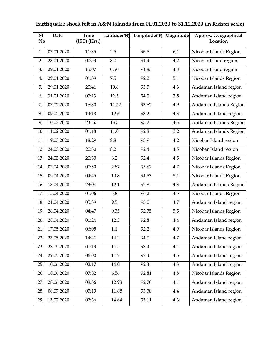## **Earthquake shock felt in A&N Islands from 01.01.2020 to 31.12.2020 (in Richter scale)**

| S1.<br>No | <b>Date</b> | <b>Time</b><br>$(IST)$ (Hrs.) | Latitude(°N) | Longitude(°E) Magnitude |     | Approx. Geographical<br>Location |
|-----------|-------------|-------------------------------|--------------|-------------------------|-----|----------------------------------|
| 1.        | 07.01.2020  | 11:35                         | 2.5          | 96.5                    | 6.1 | Nicobar Islands Region           |
| 2.        | 23.01.2020  | 00:53                         | 8.0          | 94.4                    | 4.2 | Nicobar Island region            |
| 3.        | 29.01.2020  | 15:07                         | 0.50         | 91.83                   | 4.8 | Nicobar Island region            |
| 4.        | 29.01.2020  | 01:59                         | 7.5          | 92.2                    | 5.1 | Nicobar Islands Region           |
| 5.        | 29.01.2020  | 20:41                         | 10.8         | 93.5                    | 4.3 | Andaman Island region            |
| 6.        | 31.01.2020  | 03:13                         | 12.3         | 94.3                    | 3.5 | Andaman Island region            |
| 7.        | 07.02.2020  | 16:30                         | 11.22        | 93.62                   | 4.9 | Andaman Islands Region           |
| 8.        | 09.02.2020  | 14:18                         | 12.6         | 93.2                    | 4.3 | Andaman Island region            |
| 9.        | 10.02.2020  | 23.:50                        | 13.3         | 93.2                    | 4.3 | Andaman Islands Region           |
| 10.       | 11.02.2020  | 01:18                         | 11.0         | 92.8                    | 3.2 | Andaman Islands Region           |
| 11.       | 19.03.2020  | 18:29                         | 8.8          | 93.9                    | 4.2 | Nicobar Island region            |
| 12.       | 24.03.2020  | 20:30                         | 8.2          | 92.4                    | 4.5 | Nicobar Island region            |
| 13.       | 24.03.2020  | 20:30                         | 8.2          | 92.4                    | 4.5 | Nicobar Islands Region           |
| 14.       | 07.04.2020  | 00:50                         | 2.87         | 95.82                   | 4.7 | Nicobar Islands Region           |
| 15.       | 09.04.2020  | 04:45                         | 1.08         | 94.53                   | 5.1 | Nicobar Islands Region           |
| 16.       | 13.04.2020  | 23:04                         | 12.1         | 92.8                    | 4.3 | Andaman Islands Region           |
| 17.       | 15.04.2020  | 01:06                         | 3.8          | 96.2                    | 4.5 | Nicobar Islands Region           |
| 18.       | 21.04.2020  | 05:39                         | 9.5          | 93.0                    | 4.7 | Andaman Island region            |
| 19.       | 28.04.2020  | 04:47                         | 0.35         | 92.75                   | 5.5 | Nicobar Islands Region           |
| 20.       | 28.04.2020  | 01:24                         | 12.3         | 92.8                    | 4.4 | Andaman Island region            |
| 21.       | 17.05.2020  | 06:05                         | 1.1          | 92.2                    | 4.9 | Nicobar Islands Region           |
| 22.       | 23.05.2020  | 14:41                         | 14.2         | 94.0                    | 4.7 | Andaman Island region            |
| 23.       | 23.05.2020  | 01:13                         | 11.5         | 93.4                    | 4.1 | Andaman Island region            |
| 24.       | 29.05.2020  | 06:00                         | 11.7         | 92.4                    | 4.5 | Andaman Island region            |
| 25.       | 10.06.2020  | 02:17                         | 14.0         | 92.3                    | 4.3 | Andaman Island region            |
| 26.       | 18.06.2020  | 07:32                         | 6.56         | 92.81                   | 4.8 | Nicobar Islands Region           |
| 27.       | 28.06.2020  | 08:56                         | 12.98        | 92.70                   | 4.1 | Andaman Island region            |
| 28.       | 08.07.2020  | 05:19                         | 11.68        | 93.38                   | 4.4 | Andaman Island region            |
| 29.       | 13.07.2020  | 02:36                         | 14.64        | 93.11                   | 4.3 | Andaman Island region            |